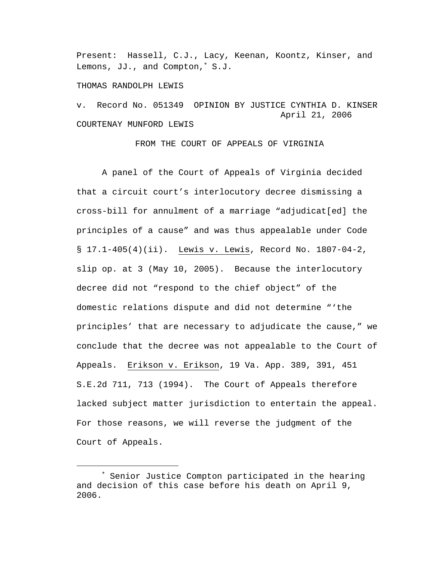Present: Hassell, C.J., Lacy, Keenan, Koontz, Kinser, and Lemons, JJ., and Compton,<sup>∗</sup> S.J.

### THOMAS RANDOLPH LEWIS

i<br>Li

v. Record No. 051349 OPINION BY JUSTICE CYNTHIA D. KINSER April 21, 2006 COURTENAY MUNFORD LEWIS

FROM THE COURT OF APPEALS OF VIRGINIA

 A panel of the Court of Appeals of Virginia decided that a circuit court's interlocutory decree dismissing a cross-bill for annulment of a marriage "adjudicat[ed] the principles of a cause" and was thus appealable under Code § 17.1-405(4)(ii). Lewis v. Lewis, Record No. 1807-04-2, slip op. at 3 (May 10, 2005). Because the interlocutory decree did not "respond to the chief object" of the domestic relations dispute and did not determine "'the principles' that are necessary to adjudicate the cause," we conclude that the decree was not appealable to the Court of Appeals. Erikson v. Erikson, 19 Va. App. 389, 391, 451 S.E.2d 711, 713 (1994). The Court of Appeals therefore lacked subject matter jurisdiction to entertain the appeal. For those reasons, we will reverse the judgment of the Court of Appeals.

<sup>∗</sup> Senior Justice Compton participated in the hearing and decision of this case before his death on April 9, 2006.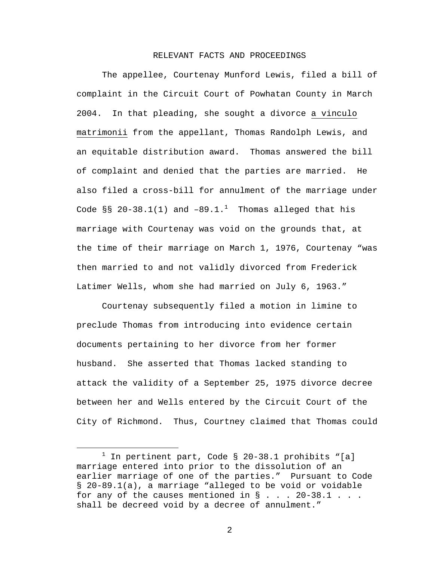### RELEVANT FACTS AND PROCEEDINGS

 The appellee, Courtenay Munford Lewis, filed a bill of complaint in the Circuit Court of Powhatan County in March 2004. In that pleading, she sought a divorce a vinculo matrimonii from the appellant, Thomas Randolph Lewis, and an equitable distribution award. Thomas answered the bill of complaint and denied that the parties are married. He also filed a cross-bill for annulment of the marriage under Code §§ 20-38.1(1) and -89.1. $^1$  Thomas alleged that his marriage with Courtenay was void on the grounds that, at the time of their marriage on March 1, 1976, Courtenay "was then married to and not validly divorced from Frederick Latimer Wells, whom she had married on July 6, 1963."

 Courtenay subsequently filed a motion in limine to preclude Thomas from introducing into evidence certain documents pertaining to her divorce from her former husband. She asserted that Thomas lacked standing to attack the validity of a September 25, 1975 divorce decree between her and Wells entered by the Circuit Court of the City of Richmond. Thus, Courtney claimed that Thomas could

 $\overline{\phantom{a}}$  $1$  In pertinent part, Code § 20-38.1 prohibits "[a] marriage entered into prior to the dissolution of an earlier marriage of one of the parties." Pursuant to Code § 20-89.1(a), a marriage "alleged to be void or voidable for any of the causes mentioned in  $\S$ ... 20-38.1... shall be decreed void by a decree of annulment."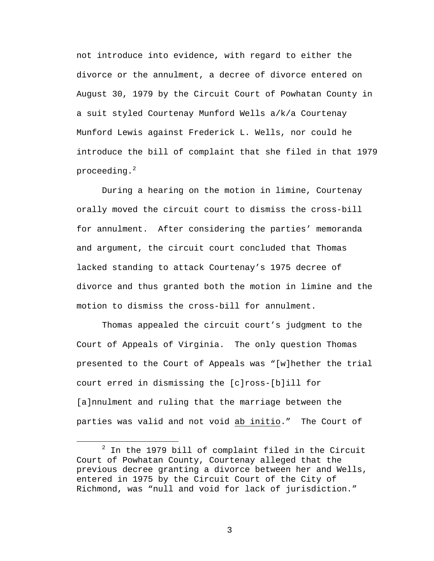not introduce into evidence, with regard to either the divorce or the annulment, a decree of divorce entered on August 30, 1979 by the Circuit Court of Powhatan County in a suit styled Courtenay Munford Wells a/k/a Courtenay Munford Lewis against Frederick L. Wells, nor could he introduce the bill of complaint that she filed in that 1979 proceeding.<sup>2</sup>

 During a hearing on the motion in limine, Courtenay orally moved the circuit court to dismiss the cross-bill for annulment. After considering the parties' memoranda and argument, the circuit court concluded that Thomas lacked standing to attack Courtenay's 1975 decree of divorce and thus granted both the motion in limine and the motion to dismiss the cross-bill for annulment.

 Thomas appealed the circuit court's judgment to the Court of Appeals of Virginia. The only question Thomas presented to the Court of Appeals was "[w]hether the trial court erred in dismissing the [c]ross-[b]ill for [a]nnulment and ruling that the marriage between the parties was valid and not void ab initio." The Court of

 $\overline{\phantom{a}}$  $10<sup>2</sup>$  In the 1979 bill of complaint filed in the Circuit Court of Powhatan County, Courtenay alleged that the previous decree granting a divorce between her and Wells, entered in 1975 by the Circuit Court of the City of Richmond, was "null and void for lack of jurisdiction."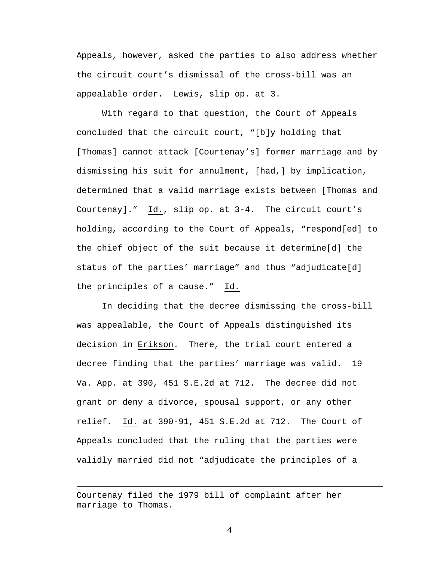Appeals, however, asked the parties to also address whether the circuit court's dismissal of the cross-bill was an appealable order. Lewis, slip op. at 3.

 With regard to that question, the Court of Appeals concluded that the circuit court, "[b]y holding that [Thomas] cannot attack [Courtenay's] former marriage and by dismissing his suit for annulment, [had,] by implication, determined that a valid marriage exists between [Thomas and Courtenay]." Id., slip op. at 3-4. The circuit court's holding, according to the Court of Appeals, "respond[ed] to the chief object of the suit because it determine[d] the status of the parties' marriage" and thus "adjudicate[d] the principles of a cause." Id.

 In deciding that the decree dismissing the cross-bill was appealable, the Court of Appeals distinguished its decision in Erikson. There, the trial court entered a decree finding that the parties' marriage was valid. 19 Va. App. at 390, 451 S.E.2d at 712. The decree did not grant or deny a divorce, spousal support, or any other relief. Id. at 390-91, 451 S.E.2d at 712. The Court of Appeals concluded that the ruling that the parties were validly married did not "adjudicate the principles of a

i<br>Li

Courtenay filed the 1979 bill of complaint after her marriage to Thomas.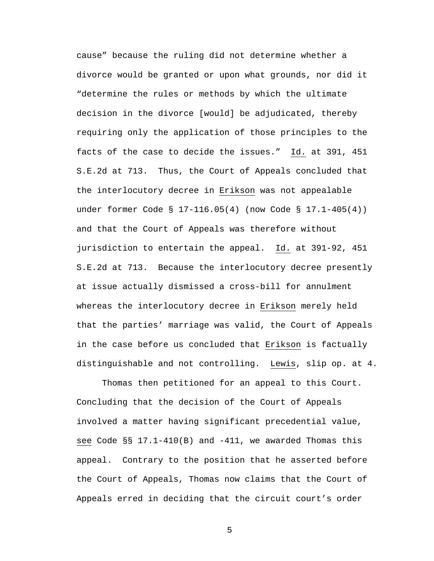cause" because the ruling did not determine whether a divorce would be granted or upon what grounds, nor did it "determine the rules or methods by which the ultimate decision in the divorce [would] be adjudicated, thereby requiring only the application of those principles to the facts of the case to decide the issues." Id. at 391, 451 S.E.2d at 713. Thus, the Court of Appeals concluded that the interlocutory decree in Erikson was not appealable under former Code § 17-116.05(4) (now Code § 17.1-405(4)) and that the Court of Appeals was therefore without jurisdiction to entertain the appeal. Id. at 391-92, 451 S.E.2d at 713. Because the interlocutory decree presently at issue actually dismissed a cross-bill for annulment whereas the interlocutory decree in Erikson merely held that the parties' marriage was valid, the Court of Appeals in the case before us concluded that Erikson is factually distinguishable and not controlling. Lewis, slip op. at 4.

Thomas then petitioned for an appeal to this Court. Concluding that the decision of the Court of Appeals involved a matter having significant precedential value, see Code §§ 17.1-410(B) and -411, we awarded Thomas this appeal. Contrary to the position that he asserted before the Court of Appeals, Thomas now claims that the Court of Appeals erred in deciding that the circuit court's order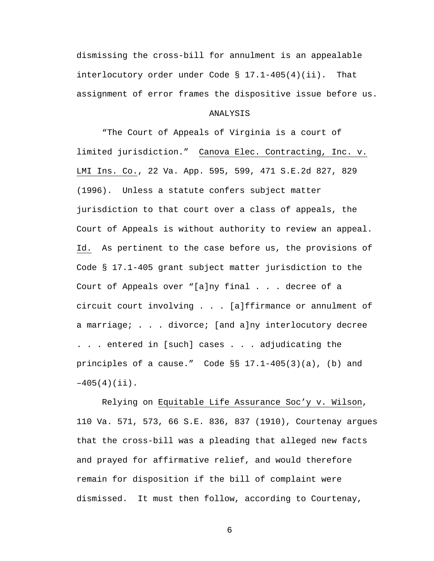dismissing the cross-bill for annulment is an appealable interlocutory order under Code § 17.1-405(4)(ii). That assignment of error frames the dispositive issue before us.

# ANALYSIS

 "The Court of Appeals of Virginia is a court of limited jurisdiction." Canova Elec. Contracting, Inc. v. LMI Ins. Co., 22 Va. App. 595, 599, 471 S.E.2d 827, 829 (1996). Unless a statute confers subject matter jurisdiction to that court over a class of appeals, the Court of Appeals is without authority to review an appeal. Id. As pertinent to the case before us, the provisions of Code § 17.1-405 grant subject matter jurisdiction to the Court of Appeals over "[a]ny final . . . decree of a circuit court involving . . . [a]ffirmance or annulment of a marriage; . . . divorce; [and a]ny interlocutory decree . . . entered in [such] cases . . . adjudicating the principles of a cause." Code §§ 17.1-405(3)(a), (b) and  $-405(4)(ii)$ .

 Relying on Equitable Life Assurance Soc'y v. Wilson, 110 Va. 571, 573, 66 S.E. 836, 837 (1910), Courtenay argues that the cross-bill was a pleading that alleged new facts and prayed for affirmative relief, and would therefore remain for disposition if the bill of complaint were dismissed. It must then follow, according to Courtenay,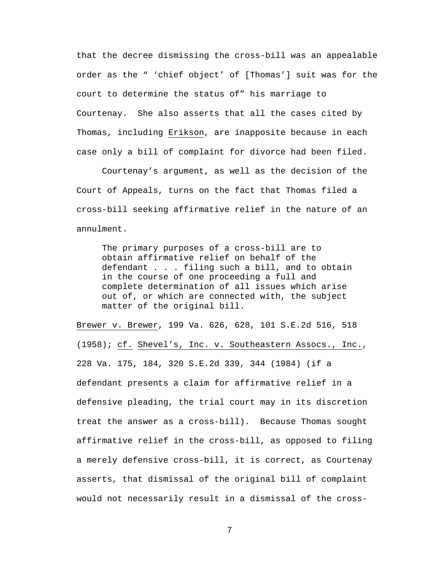that the decree dismissing the cross-bill was an appealable order as the " 'chief object' of [Thomas'] suit was for the court to determine the status of" his marriage to Courtenay. She also asserts that all the cases cited by Thomas, including Erikson, are inapposite because in each case only a bill of complaint for divorce had been filed.

 Courtenay's argument, as well as the decision of the Court of Appeals, turns on the fact that Thomas filed a cross-bill seeking affirmative relief in the nature of an annulment.

The primary purposes of a cross-bill are to obtain affirmative relief on behalf of the defendant . . . filing such a bill, and to obtain in the course of one proceeding a full and complete determination of all issues which arise out of, or which are connected with, the subject matter of the original bill.

Brewer v. Brewer, 199 Va. 626, 628, 101 S.E.2d 516, 518 (1958); cf. Shevel's, Inc. v. Southeastern Assocs., Inc., 228 Va. 175, 184, 320 S.E.2d 339, 344 (1984) (if a defendant presents a claim for affirmative relief in a defensive pleading, the trial court may in its discretion treat the answer as a cross-bill). Because Thomas sought affirmative relief in the cross-bill, as opposed to filing a merely defensive cross-bill, it is correct, as Courtenay asserts, that dismissal of the original bill of complaint would not necessarily result in a dismissal of the cross-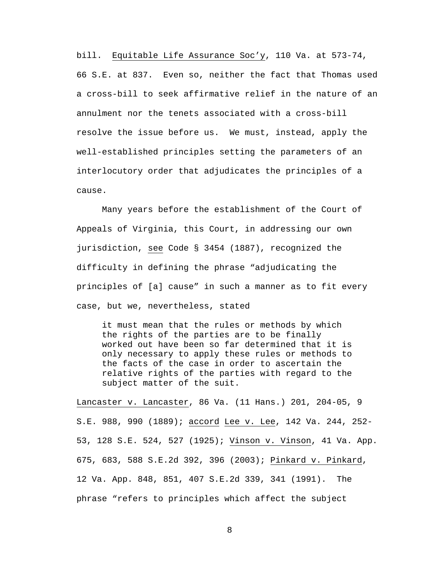bill. Equitable Life Assurance Soc'y, 110 Va. at 573-74, 66 S.E. at 837. Even so, neither the fact that Thomas used a cross-bill to seek affirmative relief in the nature of an annulment nor the tenets associated with a cross-bill resolve the issue before us. We must, instead, apply the well-established principles setting the parameters of an interlocutory order that adjudicates the principles of a cause.

 Many years before the establishment of the Court of Appeals of Virginia, this Court, in addressing our own jurisdiction, see Code § 3454 (1887), recognized the difficulty in defining the phrase "adjudicating the principles of [a] cause" in such a manner as to fit every case, but we, nevertheless, stated

it must mean that the rules or methods by which the rights of the parties are to be finally worked out have been so far determined that it is only necessary to apply these rules or methods to the facts of the case in order to ascertain the relative rights of the parties with regard to the subject matter of the suit.

Lancaster v. Lancaster, 86 Va. (11 Hans.) 201, 204-05, 9 S.E. 988, 990 (1889); accord Lee v. Lee, 142 Va. 244, 252- 53, 128 S.E. 524, 527 (1925); Vinson v. Vinson, 41 Va. App. 675, 683, 588 S.E.2d 392, 396 (2003); Pinkard v. Pinkard, 12 Va. App. 848, 851, 407 S.E.2d 339, 341 (1991). The phrase "refers to principles which affect the subject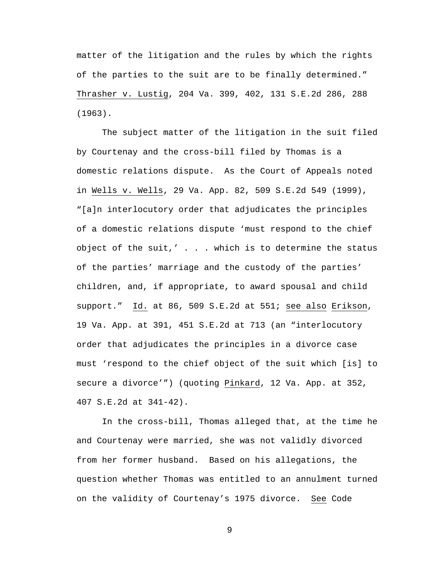matter of the litigation and the rules by which the rights of the parties to the suit are to be finally determined." Thrasher v. Lustig, 204 Va. 399, 402, 131 S.E.2d 286, 288 (1963).

 The subject matter of the litigation in the suit filed by Courtenay and the cross-bill filed by Thomas is a domestic relations dispute. As the Court of Appeals noted in Wells v. Wells, 29 Va. App. 82, 509 S.E.2d 549 (1999), "[a]n interlocutory order that adjudicates the principles of a domestic relations dispute 'must respond to the chief object of the suit,'  $\ldots$  which is to determine the status of the parties' marriage and the custody of the parties' children, and, if appropriate, to award spousal and child support." Id. at 86, 509 S.E.2d at 551; see also Erikson, 19 Va. App. at 391, 451 S.E.2d at 713 (an "interlocutory order that adjudicates the principles in a divorce case must 'respond to the chief object of the suit which [is] to secure a divorce'") (quoting Pinkard, 12 Va. App. at 352, 407 S.E.2d at 341-42).

 In the cross-bill, Thomas alleged that, at the time he and Courtenay were married, she was not validly divorced from her former husband. Based on his allegations, the question whether Thomas was entitled to an annulment turned on the validity of Courtenay's 1975 divorce. See Code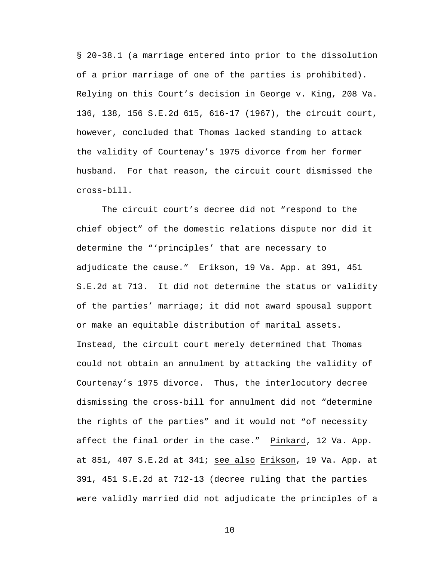§ 20-38.1 (a marriage entered into prior to the dissolution of a prior marriage of one of the parties is prohibited). Relying on this Court's decision in George v. King, 208 Va. 136, 138, 156 S.E.2d 615, 616-17 (1967), the circuit court, however, concluded that Thomas lacked standing to attack the validity of Courtenay's 1975 divorce from her former husband. For that reason, the circuit court dismissed the cross-bill.

The circuit court's decree did not "respond to the chief object" of the domestic relations dispute nor did it determine the "'principles' that are necessary to adjudicate the cause." Erikson, 19 Va. App. at 391, 451 S.E.2d at 713. It did not determine the status or validity of the parties' marriage; it did not award spousal support or make an equitable distribution of marital assets. Instead, the circuit court merely determined that Thomas could not obtain an annulment by attacking the validity of Courtenay's 1975 divorce. Thus, the interlocutory decree dismissing the cross-bill for annulment did not "determine the rights of the parties" and it would not "of necessity affect the final order in the case." Pinkard, 12 Va. App. at 851, 407 S.E.2d at 341; see also Erikson, 19 Va. App. at 391, 451 S.E.2d at 712-13 (decree ruling that the parties were validly married did not adjudicate the principles of a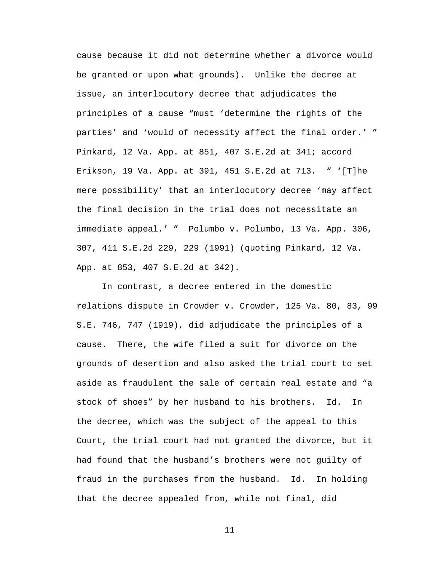cause because it did not determine whether a divorce would be granted or upon what grounds). Unlike the decree at issue, an interlocutory decree that adjudicates the principles of a cause "must 'determine the rights of the parties' and 'would of necessity affect the final order.' " Pinkard, 12 Va. App. at 851, 407 S.E.2d at 341; accord Erikson, 19 Va. App. at 391, 451 S.E.2d at 713. " '[T]he mere possibility' that an interlocutory decree 'may affect the final decision in the trial does not necessitate an immediate appeal.' " Polumbo v. Polumbo, 13 Va. App. 306, 307, 411 S.E.2d 229, 229 (1991) (quoting Pinkard, 12 Va. App. at 853, 407 S.E.2d at 342).

In contrast, a decree entered in the domestic relations dispute in Crowder v. Crowder, 125 Va. 80, 83, 99 S.E. 746, 747 (1919), did adjudicate the principles of a cause. There, the wife filed a suit for divorce on the grounds of desertion and also asked the trial court to set aside as fraudulent the sale of certain real estate and "a stock of shoes" by her husband to his brothers. Id. In the decree, which was the subject of the appeal to this Court, the trial court had not granted the divorce, but it had found that the husband's brothers were not guilty of fraud in the purchases from the husband. Id. In holding that the decree appealed from, while not final, did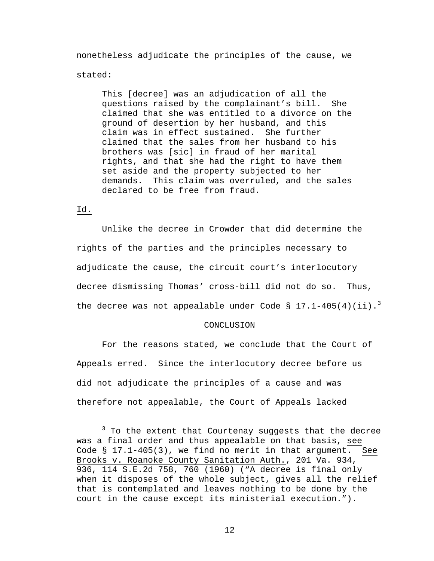nonetheless adjudicate the principles of the cause, we

## stated:

This [decree] was an adjudication of all the questions raised by the complainant's bill. She claimed that she was entitled to a divorce on the ground of desertion by her husband, and this claim was in effect sustained. She further claimed that the sales from her husband to his brothers was [sic] in fraud of her marital rights, and that she had the right to have them set aside and the property subjected to her demands. This claim was overruled, and the sales declared to be free from fraud.

## Id.

 Unlike the decree in Crowder that did determine the rights of the parties and the principles necessary to adjudicate the cause, the circuit court's interlocutory decree dismissing Thomas' cross-bill did not do so. Thus, the decree was not appealable under Code § 17.1-405(4)(ii).<sup>3</sup>

#### CONCLUSION

 For the reasons stated, we conclude that the Court of Appeals erred. Since the interlocutory decree before us did not adjudicate the principles of a cause and was therefore not appealable, the Court of Appeals lacked

 $\overline{\phantom{a}}$  3  $3$  To the extent that Courtenay suggests that the decree was a final order and thus appealable on that basis, see Code § 17.1-405(3), we find no merit in that argument. See Brooks v. Roanoke County Sanitation Auth., 201 Va. 934, 936, 114 S.E.2d 758, 760 (1960) ("A decree is final only when it disposes of the whole subject, gives all the relief that is contemplated and leaves nothing to be done by the court in the cause except its ministerial execution.").